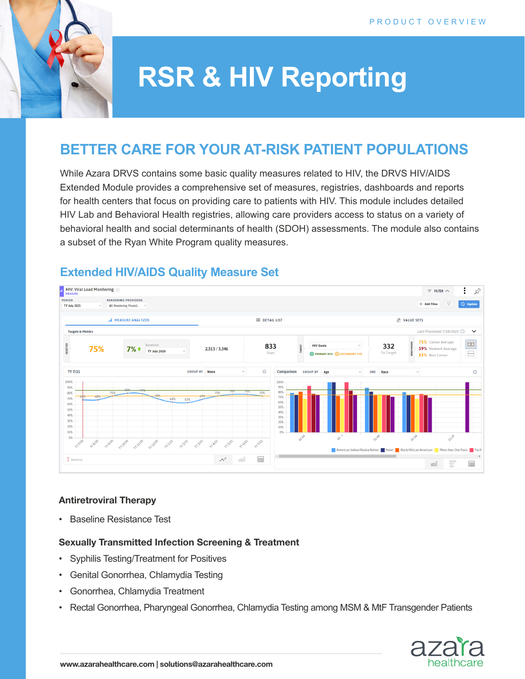

# **RSR & HIV Reporting**

## **BETTER CARE FOR YOUR AT-RISK PATIENT POPULATIONS**

While Azara DRVS contains some basic quality measures related to HIV, the DRVS HIV/AIDS Extended Module provides a comprehensive set of measures, registries, dashboards and reports for health centers that focus on providing care to patients with HIV. This module includes detailed HIV Lab and Behavioral Health registries, allowing care providers access to status on a variety of behavioral health and social determinants of health (SDOH) assessments. The module also contains a subset of the Ryan White Program quality measures.

### **Extended HIV/AIDS Quality Measure Set**



#### **Antiretroviral Therapy**

• Baseline Resistance Test

#### **Sexually Transmitted Infection Screening & Treatment**

- Syphilis Testing/Treatment for Positives
- Genital Gonorrhea, Chlamydia Testing
- Gonorrhea, Chlamydia Treatment
- Rectal Gonorrhea, Pharyngeal Gonorrhea, Chlamydia Testing among MSM & MtF Transgender Patients